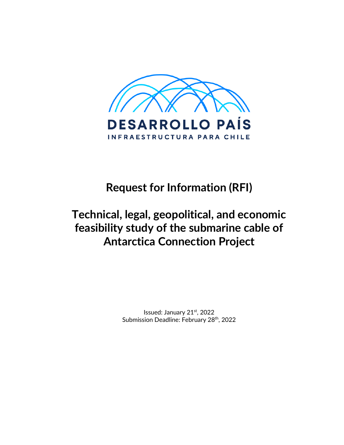

# **Request for Information (RFI)**

# **Technical, legal, geopolitical, and economic feasibility study of the submarine cable of Antarctica Connection Project**

Issued: January 21st, 2022 Submission Deadline: February 28<sup>th</sup>, 2022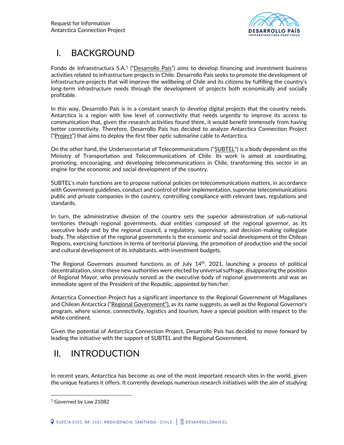

## I. BACKGROUND

Fondo de Infraestructura S.A.<sup>1</sup> ("Desarrollo País") aims to develop financing and investment business activities related to infrastructure projects in Chile. Desarrollo País seeks to promote the development of infrastructure projects that will improve the wellbeing of Chile and its citizens by fulfilling the country's long-term infrastructure needs through the development of projects both economically and socially profitable.

In this way, Desarrollo País is in a constant search to develop digital projects that the country needs. Antarctica is a region with low level of connectivity that needs urgently to improve its access to communication that, given the research activities found there, it would benefit immensely from having better connectivity. Therefore, Desarrollo País has decided to analyze Antarctica Connection Project ("Project") that aims to deploy the first fiber optic submarine cable to Antarctica.

On the other hand, the Undersecretariat of Telecommunications ("SUBTEL") is a body dependent on the Ministry of Transportation and Telecommunications of Chile. Its work is aimed at coordinating, promoting, encouraging, and developing telecommunications in Chile, transforming this sector in an engine for the economic and social development of the country.

SUBTEL's main functions are to propose national policies on telecommunications matters, in accordance with Government guidelines, conduct and control of their implementation, supervise telecommunications public and private companies in the country, controlling compliance with relevant laws, regulations and standards.

In turn, the administrative division of the country sets the superior administration of sub-national territories through regional governments, dual entities composed of the regional governor, as its executive body and by the regional council, a regulatory, supervisory, and decision-making collegiate body. The objective of the regional governments is the economic and social development of the Chilean Regions, exercising functions in terms of territorial planning, the promotion of production and the social and cultural development of its inhabitants, with investment budgets.

The Regional Governors assumed functions as of July  $14<sup>th</sup>$ , 2021, launching a process of political decentralization, since these new authorities were elected by universal suffrage, disappearing the position of Regional Mayor, who previously served as the executive body of regional governments and was an immediate agent of the President of the Republic, appointed by him/her.

Antarctica Connection Project has a significant importance to the Regional Government of Magallanes and Chilean Antarctica ("Regional Government"), as its name suggests, as well as the Regional Governor's program, where science, connectivity, logistics and tourism, have a special position with respect to the white continent.

Given the potential of Antarctica Connection Project, Desarrollo País has decided to move forward by leading the initiative with the support of SUBTEL and the Regional Government.

## II. INTRODUCTION

In recent years, Antarctica has become as one of the most important research sites in the world, given the unique features it offers. It currently develops numerous research initiatives with the aim of studying

<sup>1</sup> Governed by Law 21082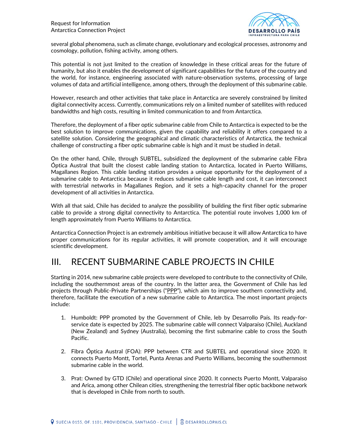

several global phenomena, such as climate change, evolutionary and ecological processes, astronomy and cosmology, pollution, fishing activity, among others.

This potential is not just limited to the creation of knowledge in these critical areas for the future of humanity, but also it enables the development of significant capabilities for the future of the country and the world, for instance, engineering associated with nature-observation systems, processing of large volumes of data and artificial intelligence, among others, through the deployment of this submarine cable.

However, research and other activities that take place in Antarctica are severely constrained by limited digital connectivity access. Currently, communications rely on a limited number of satellites with reduced bandwidths and high costs, resulting in limited communication to and from Antarctica.

Therefore, the deployment of a fiber optic submarine cable from Chile to Antarctica is expected to be the best solution to improve communications, given the capability and reliability it offers compared to a satellite solution. Considering the geographical and climatic characteristics of Antarctica, the technical challenge of constructing a fiber optic submarine cable is high and it must be studied in detail.

On the other hand, Chile, through SUBTEL, subsidized the deployment of the submarine cable Fibra Óptica Austral that built the closest cable landing station to Antarctica, located in Puerto Williams, Magallanes Region. This cable landing station provides a unique opportunity for the deployment of a submarine cable to Antarctica because it reduces submarine cable length and cost, it can interconnect with terrestrial networks in Magallanes Region, and it sets a high-capacity channel for the proper development of all activities in Antarctica.

With all that said, Chile has decided to analyze the possibility of building the first fiber optic submarine cable to provide a strong digital connectivity to Antarctica. The potential route involves 1,000 km of length approximately from Puerto Williams to Antarctica.

Antarctica Connection Project is an extremely ambitious initiative because it will allow Antarctica to have proper communications for its regular activities, it will promote cooperation, and it will encourage scientific development.

## III. RECENT SUBMARINE CABLE PROJECTS IN CHILE

Starting in 2014, new submarine cable projects were developed to contribute to the connectivity of Chile, including the southernmost areas of the country. In the latter area, the Government of Chile has led projects through Public-Private Partnerships ("PPP"), which aim to improve southern connectivity and, therefore, facilitate the execution of a new submarine cable to Antarctica. The most important projects include:

- 1. Humboldt: PPP promoted by the Government of Chile, leb by Desarrollo País. Its ready-forservice date is expected by 2025. The submarine cable will connect Valparaíso (Chile), Auckland (New Zealand) and Sydney (Australia), becoming the first submarine cable to cross the South Pacific.
- 2. Fibra Óptica Austral (FOA): PPP between CTR and SUBTEL and operational since 2020. It connects Puerto Montt, Tortel, Punta Arenas and Puerto Williams, becoming the southernmost submarine cable in the world.
- 3. Prat: Owned by GTD (Chile) and operational since 2020. It connects Puerto Montt, Valparaiso and Arica, among other Chilean cities, strengthening the terrestrial fiber optic backbone network that is developed in Chile from north to south.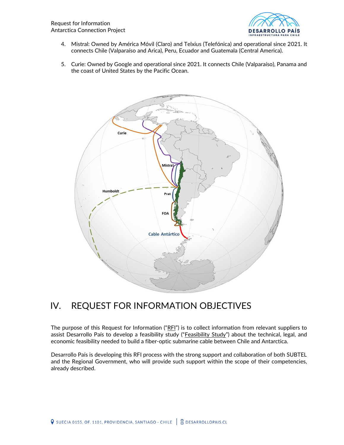

- 4. Mistral: Owned by América Móvil (Claro) and Telxius (Telefónica) and operational since 2021. It connects Chile (Valparaíso and Arica), Peru, Ecuador and Guatemala (Central America).
- 5. Curie: Owned by Google and operational since 2021. It connects Chile (Valparaíso), Panama and the coast of United States by the Pacific Ocean.



## IV. REQUEST FOR INFORMATION OBJECTIVES

The purpose of this Request for Information (" $RFI$ ") is to collect information from relevant suppliers to assist Desarrollo País to develop a feasibility study ("Feasibility Study") about the technical, legal, and economic feasibility needed to build a fiber-optic submarine cable between Chile and Antarctica.

Desarrollo País is developing this RFI process with the strong support and collaboration of both SUBTEL and the Regional Government, who will provide such support within the scope of their competencies, already described.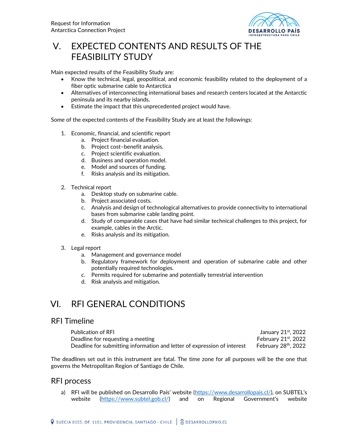

## V. EXPECTED CONTENTS AND RESULTS OF THE FEASIBILITY STUDY

Main expected results of the Feasibility Study are:

- Know the technical, legal, geopolitical, and economic feasibility related to the deployment of a fiber optic submarine cable to Antarctica
- Alternatives of interconnecting international bases and research centers located at the Antarctic peninsula and its nearby islands.
- Estimate the impact that this unprecedented project would have.

Some of the expected contents of the Feasibility Study are at least the followings:

- 1. Economic, financial, and scientific report
	- a. Project financial evaluation.
	- b. Project cost–benefit analysis.
	- c. Project scientific evaluation.
	- d. Business and operation model.
	- e. Model and sources of funding.
	- f. Risks analysis and its mitigation.
- 2. Technical report
	- a. Desktop study on submarine cable.
	- b. Project associated costs.
	- c. Analysis and design of technological alternatives to provide connectivity to international bases from submarine cable landing point.
	- d. Study of comparable cases that have had similar technical challenges to this project, for example, cables in the Arctic.
	- e. Risks analysis and its mitigation.
- 3. Legal report
	- a. Management and governance model
	- b. Regulatory framework for deployment and operation of submarine cable and other potentially required technologies.
	- c. Permits required for submarine and potentially terrestrial intervention
	- d. Risk analysis and mitigation.

### VI. RFI GENERAL CONDITIONS

### RFI Timeline

| <b>Publication of RFI</b>                                                | January 21st, 2022               |
|--------------------------------------------------------------------------|----------------------------------|
| Deadline for requesting a meeting                                        | February $21st$ , 2022           |
| Deadline for submitting information and letter of expression of interest | February 28 <sup>th</sup> , 2022 |

The deadlines set out in this instrument are fatal. The time zone for all purposes will be the one that governs the Metropolitan Region of Santiago de Chile.

### RFI process

a) RFI will be published on Desarrollo País' website (<https://www.desarrollopais.cl/>), on SUBTEL's website [\(https://www.subtel.gob.cl/](https://www.subtel.gob.cl/)) and on Regional Government's website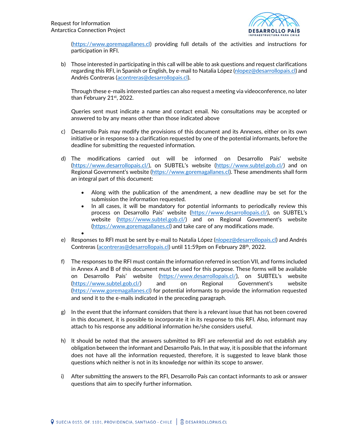

[\(https://www.goremagallanes.cl\)](https://www.goremagallanes.cl/) providing full details of the activities and instructions for participation in RFI.

b) Those interested in participating in this call will be able to ask questions and request clarifications regarding this RFI, in Spanish or English, by e-mail to Natalia López [\(nlopez@desarrollopais.cl\)](mailto:nlopez@desarrollopais.cl) and Andrés Contreras [\(acontreras@desarrollopais.cl\)](mailto:acontreras@desarrollopais.cl).

Through these e-mails interested parties can also request a meeting via videoconference, no later than February 21st, 2022.

Queries sent must indicate a name and contact email. No consultations may be accepted or answered to by any means other than those indicated above

- c) Desarrollo País may modify the provisions of this document and its Annexes, either on its own initiative or in response to a clarification requested by one of the potential informants, before the deadline for submitting the requested information.
- d) The modifications carried out will be informed on Desarrollo País' website [\(https://www.desarrollopais.cl/](https://www.desarrollopais.cl/)), on SUBTEL's website ([https://www.subtel.gob.cl/\)](https://www.subtel.gob.cl/) and on Regional Government's website ([https://www.goremagallanes.cl\)](https://www.goremagallanes.cl/). These amendments shall form an integral part of this document:
	- Along with the publication of the amendment, a new deadline may be set for the submission the information requested.
	- In all cases, it will be mandatory for potential informants to periodically review this process on Desarrollo País' website (<https://www.desarrollopais.cl/>), on SUBTEL's website [\(https://www.subtel.gob.cl/](https://www.subtel.gob.cl/)) and on Regional Government's website [\(https://www.goremagallanes.cl\)](https://www.goremagallanes.cl/) and take care of any modifications made. •
- e) Responses to RFI must be sent by e-mail to Natalia López [\(nlopez@desarrollopais.cl\)](mailto:nlopez@desarrollopais.cl) and Andrés Contreras [\(acontreras@desarrollopais.cl\)](mailto:acontreras@desarrollopais.cl) until 11:59pm on February 28<sup>th</sup>, 2022.
- f) The responses to the RFI must contain the information referred in section VII, and forms included in Annex A and B of this document must be used for this purpose. These forms will be available on Desarrollo País' website (<https://www.desarrollopais.cl/>), on SUBTEL's website [\(https://www.subtel.gob.cl/](https://www.subtel.gob.cl/)) and on Regional Government's website [\(https://www.goremagallanes.cl\)](https://www.goremagallanes.cl/) for potential informants to provide the information requested and send it to the e-mails indicated in the preceding paragraph.
- g) In the event that the informant considers that there is a relevant issue that has not been covered in this document, it is possible to incorporate it in its response to this RFI. Also, informant may attach to his response any additional information he/she considers useful.
- h) It should be noted that the answers submitted to RFI are referential and do not establish any obligation between the informant and Desarrollo País. In that way, it is possible that the informant does not have all the information requested, therefore, it is suggested to leave blank those questions which neither is not in its knowledge nor within its scope to answer.
- i) After submitting the answers to the RFI, Desarrollo País can contact informants to ask or answer questions that aim to specify further information.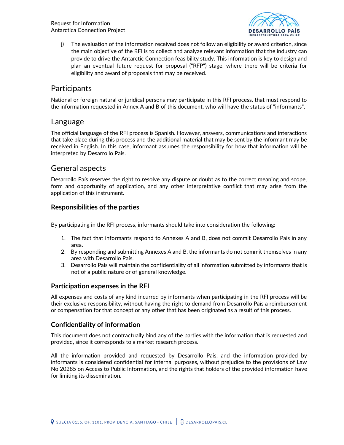

j) The evaluation of the information received does not follow an eligibility or award criterion, since the main objective of the RFI is to collect and analyze relevant information that the industry can provide to drive the Antarctic Connection feasibility study. This information is key to design and plan an eventual future request for proposal ("RFP") stage, where there will be criteria for eligibility and award of proposals that may be received.

### **Participants**

National or foreign natural or juridical persons may participate in this RFI process, that must respond to the information requested in Annex A and B of this document, who will have the status of "informants".

### Language

The official language of the RFI process is Spanish. However, answers, communications and interactions that take place during this process and the additional material that may be sent by the informant may be received in English. In this case, informant assumes the responsibility for how that information will be interpreted by Desarrollo País.

### General aspects

Desarrollo País reserves the right to resolve any dispute or doubt as to the correct meaning and scope, form and opportunity of application, and any other interpretative conflict that may arise from the application of this instrument.

### **Responsibilities of the parties**

By participating in the RFI process, informants should take into consideration the following:

- 1. The fact that informants respond to Annexes A and B, does not commit Desarrollo País in any area.
- 2. By responding and submitting Annexes A and B, the informants do not commit themselves in any area with Desarrollo País.
- 3. Desarrollo País will maintain the confidentiality of all information submitted by informants that is not of a public nature or of general knowledge.

### **Participation expenses in the RFI**

All expenses and costs of any kind incurred by informants when participating in the RFI process will be their exclusive responsibility, without having the right to demand from Desarrollo País a reimbursement or compensation for that concept or any other that has been originated as a result of this process.

### **Confidentiality of information**

This document does not contractually bind any of the parties with the information that is requested and provided, since it corresponds to a market research process.

All the information provided and requested by Desarrollo País, and the information provided by informants is considered confidential for internal purposes, without prejudice to the provisions of Law No 20285 on Access to Public Information, and the rights that holders of the provided information have for limiting its dissemination.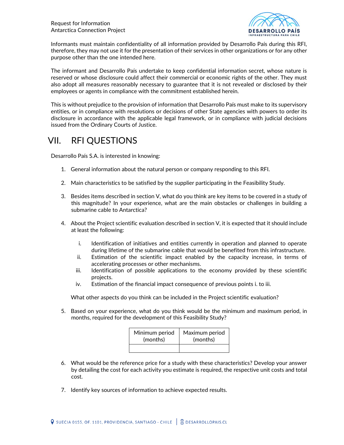

Informants must maintain confidentiality of all information provided by Desarrollo País during this RFI, therefore, they may not use it for the presentation of their services in other organizations or for any other purpose other than the one intended here.

The informant and Desarrollo País undertake to keep confidential information secret, whose nature is reserved or whose disclosure could affect their commercial or economic rights of the other. They must also adopt all measures reasonably necessary to guarantee that it is not revealed or disclosed by their employees or agents in compliance with the commitment established herein.

This is without prejudice to the provision of information that Desarrollo País must make to its supervisory entities, or in compliance with resolutions or decisions of other State agencies with powers to order its disclosure in accordance with the applicable legal framework, or in compliance with judicial decisions issued from the Ordinary Courts of Justice.

## VII. RFI QUESTIONS

Desarrollo País S.A. is interested in knowing:

- 1. General information about the natural person or company responding to this RFI.
- 2. Main characteristics to be satisfied by the supplier participating in the Feasibility Study.
- 3. Besides items described in section V, what do you think are key items to be covered in a study of this magnitude? In your experience, what are the main obstacles or challenges in building a submarine cable to Antarctica?
- 4. About the Project scientific evaluation described in section V, it is expected that it should include at least the following:
	- i. Identification of initiatives and entities currently in operation and planned to operate during lifetime of the submarine cable that would be benefited from this infrastructure.
	- ii. Estimation of the scientific impact enabled by the capacity increase, in terms of accelerating processes or other mechanisms.
	- iii. Identification of possible applications to the economy provided by these scientific projects.
	- iv. Estimation of the financial impact consequence of previous points i. to iii.

What other aspects do you think can be included in the Project scientific evaluation?

5. Based on your experience, what do you think would be the minimum and maximum period, in months, required for the development of this Feasibility Study?

| Minimum period | Maximum period |
|----------------|----------------|
| (months)       | (months)       |
|                |                |

- 6. What would be the reference price for a study with these characteristics? Develop your answer by detailing the cost for each activity you estimate is required, the respective unit costs and total cost.
- 7. Identify key sources of information to achieve expected results.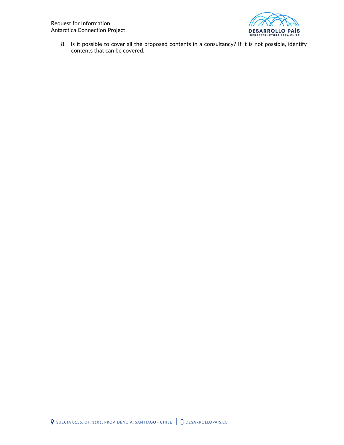

8. Is it possible to cover all the proposed contents in a consultancy? If it is not possible, identify contents that can be covered.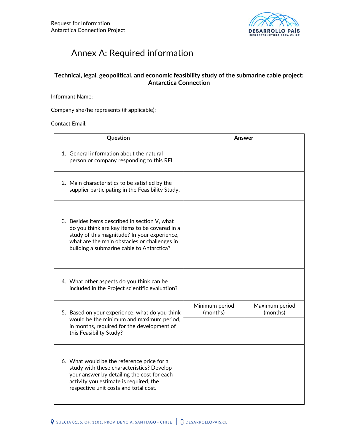

## Annex A: Required information

### **Technical, legal, geopolitical, and economic feasibility study of the submarine cable project: Antarctica Connection**

Informant Name:

Company she/he represents (if applicable):

Contact Email:

| Question                                                                                                                                                                                                                                    | Answer                     |                            |
|---------------------------------------------------------------------------------------------------------------------------------------------------------------------------------------------------------------------------------------------|----------------------------|----------------------------|
| 1. General information about the natural<br>person or company responding to this RFI.                                                                                                                                                       |                            |                            |
| 2. Main characteristics to be satisfied by the<br>supplier participating in the Feasibility Study.                                                                                                                                          |                            |                            |
| 3. Besides items described in section V, what<br>do you think are key items to be covered in a<br>study of this magnitude? In your experience,<br>what are the main obstacles or challenges in<br>building a submarine cable to Antarctica? |                            |                            |
| 4. What other aspects do you think can be<br>included in the Project scientific evaluation?                                                                                                                                                 |                            |                            |
| 5. Based on your experience, what do you think<br>would be the minimum and maximum period,<br>in months, required for the development of<br>this Feasibility Study?                                                                         | Minimum period<br>(months) | Maximum period<br>(months) |
| 6. What would be the reference price for a<br>study with these characteristics? Develop<br>your answer by detailing the cost for each<br>activity you estimate is required, the<br>respective unit costs and total cost.                    |                            |                            |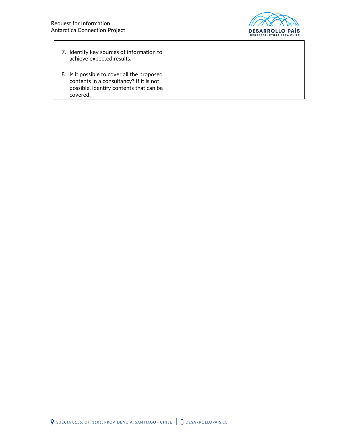

| 7. Identify key sources of information to<br>achieve expected results.                                                                        |  |
|-----------------------------------------------------------------------------------------------------------------------------------------------|--|
| 8. Is it possible to cover all the proposed<br>contents in a consultancy? If it is not<br>possible, identify contents that can be<br>covered. |  |